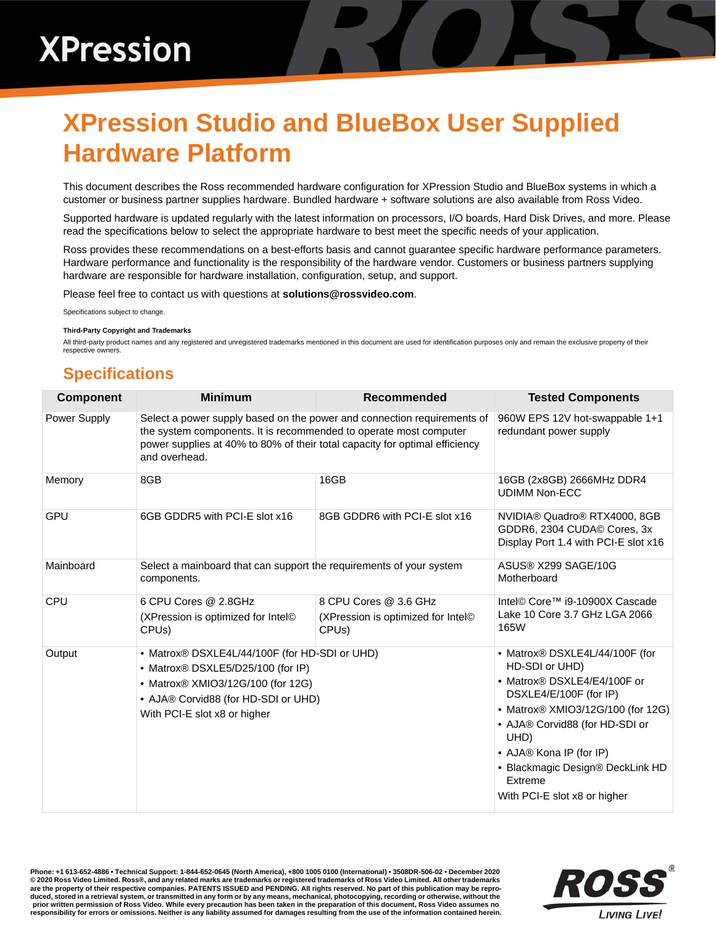## **XPression Studio and BlueBox User Supplied Hardware Platform**

This document describes the Ross recommended hardware configuration for XPression Studio and BlueBox systems in which a customer or business partner supplies hardware. Bundled hardware + software solutions are also available from Ross Video.

Supported hardware is updated regularly with the latest information on processors, I/O boards, Hard Disk Drives, and more. Please read the specifications below to select the appropriate hardware to best meet the specific needs of your application.

Ross provides these recommendations on a best-efforts basis and cannot guarantee specific hardware performance parameters. Hardware performance and functionality is the responsibility of the hardware vendor. Customers or business partners supplying hardware are responsible for hardware installation, configuration, setup, and support.

Please feel free to contact us with questions at **solutions@rossvideo.com**.

Specifications subject to change.

## **Third-Party Copyright and Trademarks**

All third-party product names and any registered and unregistered trademarks mentioned in this document are used for identification purposes only and remain the exclusive property of their respective owners.

## **Specifications**

| <b>Component</b> | <b>Minimum</b>                                                                                                                                                                                                                               | Recommended                                                                                   | <b>Tested Components</b>                                                                                                                                                                                                                                                                           |
|------------------|----------------------------------------------------------------------------------------------------------------------------------------------------------------------------------------------------------------------------------------------|-----------------------------------------------------------------------------------------------|----------------------------------------------------------------------------------------------------------------------------------------------------------------------------------------------------------------------------------------------------------------------------------------------------|
| Power Supply     | Select a power supply based on the power and connection requirements of<br>the system components. It is recommended to operate most computer<br>power supplies at 40% to 80% of their total capacity for optimal efficiency<br>and overhead. |                                                                                               | 960W EPS 12V hot-swappable 1+1<br>redundant power supply                                                                                                                                                                                                                                           |
| Memory           | 8GB                                                                                                                                                                                                                                          | 16GB                                                                                          | 16GB (2x8GB) 2666MHz DDR4<br><b>UDIMM Non-ECC</b>                                                                                                                                                                                                                                                  |
| GPU              | 6GB GDDR5 with PCI-E slot x16                                                                                                                                                                                                                | 8GB GDDR6 with PCI-E slot x16                                                                 | NVIDIA® Quadro® RTX4000, 8GB<br>GDDR6, 2304 CUDA© Cores, 3x<br>Display Port 1.4 with PCI-E slot x16                                                                                                                                                                                                |
| Mainboard        | Select a mainboard that can support the requirements of your system<br>components.                                                                                                                                                           |                                                                                               | ASUS® X299 SAGE/10G<br>Motherboard                                                                                                                                                                                                                                                                 |
| CPU              | 6 CPU Cores @ 2.8GHz<br>(XPression is optimized for Intel <sup>®</sup><br>CPU <sub>s</sub> )                                                                                                                                                 | 8 CPU Cores @ 3.6 GHz<br>(XPression is optimized for Intel <sup>®</sup><br>CPU <sub>s</sub> ) | Intel© Core™ i9-10900X Cascade<br>Lake 10 Core 3.7 GHz LGA 2066<br>165W                                                                                                                                                                                                                            |
| Output           | • Matrox® DSXLE4L/44/100F (for HD-SDI or UHD)<br>• Matrox <sup>®</sup> DSXLE5/D25/100 (for IP)<br>• Matrox® XMIO3/12G/100 (for 12G)<br>• AJA® Corvid88 (for HD-SDI or UHD)<br>With PCI-E slot x8 or higher                                   |                                                                                               | • Matrox® DSXLE4L/44/100F (for<br>HD-SDI or UHD)<br>• Matrox® DSXLE4/E4/100F or<br>DSXLE4/E/100F (for IP)<br>• Matrox® XMIO3/12G/100 (for 12G)<br>• AJA® Corvid88 (for HD-SDI or<br>UHD)<br>• AJA® Kona IP (for IP)<br>• Blackmagic Design® DeckLink HD<br>Extreme<br>With PCI-E slot x8 or higher |

**Phone: +1 613-652-4886 • Technical Support: 1-844-652-0645 (North America), +800 1005 0100 (International) • 3508DR-506-02 • December 2020 © 2020 Ross Video Limited. Ross®, and any related marks are trademarks or registered trademarks of Ross Video Limited. All other trademarks are the property of their respective companies. PATENTS ISSUED and PENDING. All rights reserved. No part of this publication may be repro**duced, stored in a retrieval system, or transmitted in any form or by any means, mechanical, photocopying, recording or otherwise, without the<br>prior written permission of Ross Video. While every precaution has been taken i **responsibility for errors or omissions. Neither is any liability assumed for damages resulting from the use of the information contained herein.**